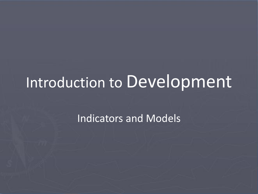# Introduction to Development

Indicators and Models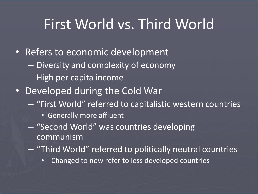#### First World vs. Third World

- Refers to economic development
	- Diversity and complexity of economy
	- High per capita income
- Developed during the Cold War
	- "First World" referred to capitalistic western countries
		- Generally more affluent
	- "Second World" was countries developing communism
	- "Third World" referred to politically neutral countries
		- Changed to now refer to less developed countries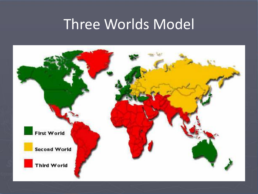#### Three Worlds Model

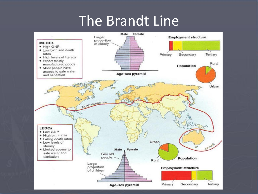#### The Brandt Line

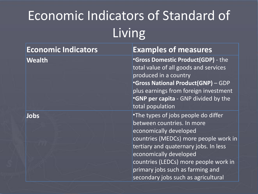## Economic Indicators of Standard of Living

| <b>Economic Indicators</b> | <b>Examples of measures</b>                                                                                                                                                                                                                                                          |
|----------------------------|--------------------------------------------------------------------------------------------------------------------------------------------------------------------------------------------------------------------------------------------------------------------------------------|
| <b>Wealth</b>              | <b>•Gross Domestic Product(GDP)</b> - the<br>total value of all goods and services<br>produced in a country<br><b>Gross National Product(GNP)</b> - GDP<br>plus earnings from foreign investment<br>.GNP per capita - GNP divided by the<br>total population                         |
| Jobs                       | •The types of jobs people do differ<br>between countries. In more<br>economically developed<br>countries (MEDCs) more people work in<br>tertiary and quaternary jobs. In less<br>economically developed<br>countries (LEDCs) more people work in<br>primary jobs such as farming and |
|                            | secondary jobs such as agricultural                                                                                                                                                                                                                                                  |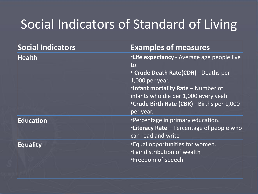#### Social Indicators of Standard of Living

| Social Indicators | <b>Examples of measures</b>                               |
|-------------------|-----------------------------------------------------------|
| <b>Health</b>     | <b>. Life expectancy</b> - Average age people live<br>to. |
|                   | <b>Crude Death Rate(CDR)</b> - Deaths per                 |
|                   | $1,000$ per year.                                         |
|                   | <b>.Infant mortality Rate - Number of</b>                 |
|                   | infants who die per 1,000 every yeah                      |
|                   | <b>Crude Birth Rate (CBR)</b> - Births per 1,000          |
|                   | per year.                                                 |
| <b>Education</b>  | •Percentage in primary education.                         |
|                   | <b>. Literacy Rate</b> – Percentage of people who         |
|                   | can read and write                                        |
| <b>Equality</b>   | <b>Equal opportunities for women.</b>                     |
|                   | •Fair distribution of wealth                              |
|                   | •Freedom of speech                                        |
|                   |                                                           |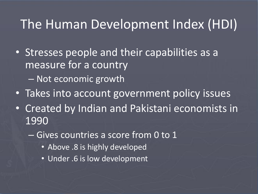#### The Human Development Index (HDI)

- Stresses people and their capabilities as a measure for a country
	- Not economic growth
- Takes into account government policy issues
- Created by Indian and Pakistani economists in 1990
	- Gives countries a score from 0 to 1
		- Above .8 is highly developed
		- Under .6 is low development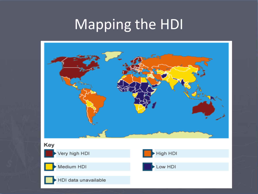# Mapping the HDI

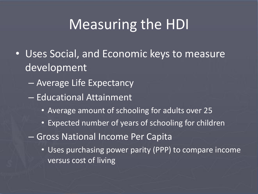### Measuring the HDI

- Uses Social, and Economic keys to measure development
	- Average Life Expectancy
	- Educational Attainment
		- Average amount of schooling for adults over 25
		- Expected number of years of schooling for children
	- Gross National Income Per Capita
		- Uses purchasing power parity (PPP) to compare income versus cost of living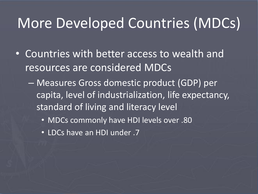### More Developed Countries (MDCs)

- Countries with better access to wealth and resources are considered MDCs
	- Measures Gross domestic product (GDP) per capita, level of industrialization, life expectancy, standard of living and literacy level
		- MDCs commonly have HDI levels over .80
		- LDCs have an HDI under .7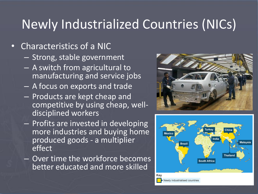#### Newly Industrialized Countries (NICs)

#### • Characteristics of a NIC

- Strong, stable government
- A switch from agricultural to manufacturing and service jobs
- A focus on exports and trade
- Products are kept cheap and competitive by using cheap, welldisciplined workers
- Profits are invested in developing more industries and buying home produced goods - a multiplier effect
- Over time the workforce becomes better educated and more skilled



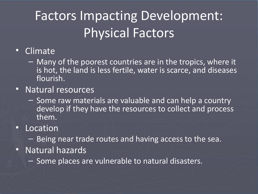### Factors Impacting Development: Physical Factors

- Climate
	- Many of the poorest countries are in the tropics, where it is hot, the land is less fertile, water is scarce, and diseases flourish.
- Natural resources
	- Some raw materials are valuable and can help a country develop if they have the resources to collect and process them.
- Location
	- Being near trade routes and having access to the sea.
- Natural hazards
	- Some places are vulnerable to natural disasters.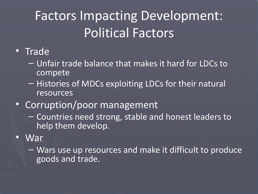### Factors Impacting Development: Political Factors

#### • Trade

- Unfair trade balance that makes it hard for LDCs to compete
- Histories of MDCs exploiting LDCs for their natural resources
- Corruption/poor management
	- Countries need strong, stable and honest leaders to help them develop.

#### • War

– Wars use up resources and make it difficult to produce goods and trade.